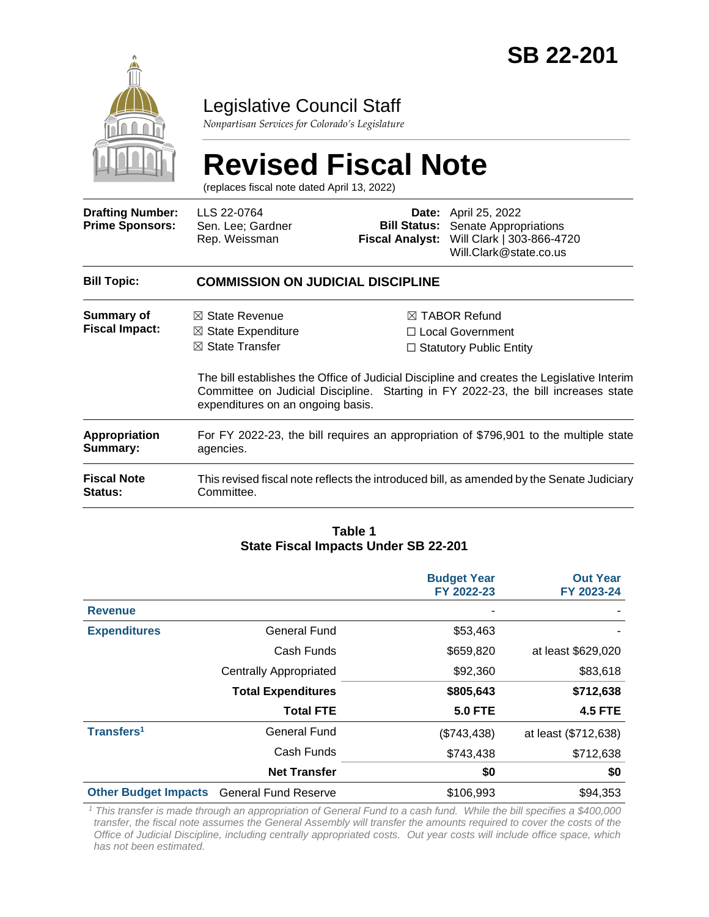

# Legislative Council Staff

*Nonpartisan Services for Colorado's Legislature*

# **Revised Fiscal Note**

(replaces fiscal note dated April 13, 2022)

| <b>Drafting Number:</b><br><b>Prime Sponsors:</b> | LLS 22-0764<br>Sen. Lee; Gardner<br>Rep. Weissman                                                                             | <b>Fiscal Analyst:</b> | <b>Date:</b> April 25, 2022<br><b>Bill Status:</b> Senate Appropriations<br>Will Clark   303-866-4720<br>Will.Clark@state.co.us                                                                                                                                      |  |  |
|---------------------------------------------------|-------------------------------------------------------------------------------------------------------------------------------|------------------------|----------------------------------------------------------------------------------------------------------------------------------------------------------------------------------------------------------------------------------------------------------------------|--|--|
| <b>Bill Topic:</b>                                | <b>COMMISSION ON JUDICIAL DISCIPLINE</b>                                                                                      |                        |                                                                                                                                                                                                                                                                      |  |  |
| Summary of<br><b>Fiscal Impact:</b>               | $\boxtimes$ State Revenue<br>$\boxtimes$ State Expenditure<br>$\boxtimes$ State Transfer<br>expenditures on an ongoing basis. |                        | $\boxtimes$ TABOR Refund<br>□ Local Government<br>$\Box$ Statutory Public Entity<br>The bill establishes the Office of Judicial Discipline and creates the Legislative Interim<br>Committee on Judicial Discipline. Starting in FY 2022-23, the bill increases state |  |  |
| <b>Appropriation</b><br>Summary:                  | For FY 2022-23, the bill requires an appropriation of \$796,901 to the multiple state<br>agencies.                            |                        |                                                                                                                                                                                                                                                                      |  |  |
| <b>Fiscal Note</b><br>Status:                     | This revised fiscal note reflects the introduced bill, as amended by the Senate Judiciary<br>Committee.                       |                        |                                                                                                                                                                                                                                                                      |  |  |

#### **Table 1 State Fiscal Impacts Under SB 22-201**

|                             |                               | <b>Budget Year</b><br>FY 2022-23 | <b>Out Year</b><br>FY 2023-24 |
|-----------------------------|-------------------------------|----------------------------------|-------------------------------|
| <b>Revenue</b>              |                               |                                  |                               |
| <b>Expenditures</b>         | <b>General Fund</b>           | \$53,463                         |                               |
|                             | Cash Funds                    | \$659,820                        | at least \$629,020            |
|                             | <b>Centrally Appropriated</b> | \$92,360                         | \$83,618                      |
|                             | <b>Total Expenditures</b>     | \$805,643                        | \$712,638                     |
|                             | <b>Total FTE</b>              | <b>5.0 FTE</b>                   | <b>4.5 FTE</b>                |
| Transfers <sup>1</sup>      | <b>General Fund</b>           | (\$743,438)                      | at least (\$712,638)          |
|                             | Cash Funds                    | \$743,438                        | \$712,638                     |
|                             | <b>Net Transfer</b>           | \$0                              | \$0                           |
| <b>Other Budget Impacts</b> | <b>General Fund Reserve</b>   | \$106,993                        | \$94,353                      |

*<sup>1</sup> This transfer is made through an appropriation of General Fund to a cash fund. While the bill specifies a \$400,000 transfer, the fiscal note assumes the General Assembly will transfer the amounts required to cover the costs of the Office of Judicial Discipline, including centrally appropriated costs. Out year costs will include office space, which has not been estimated.*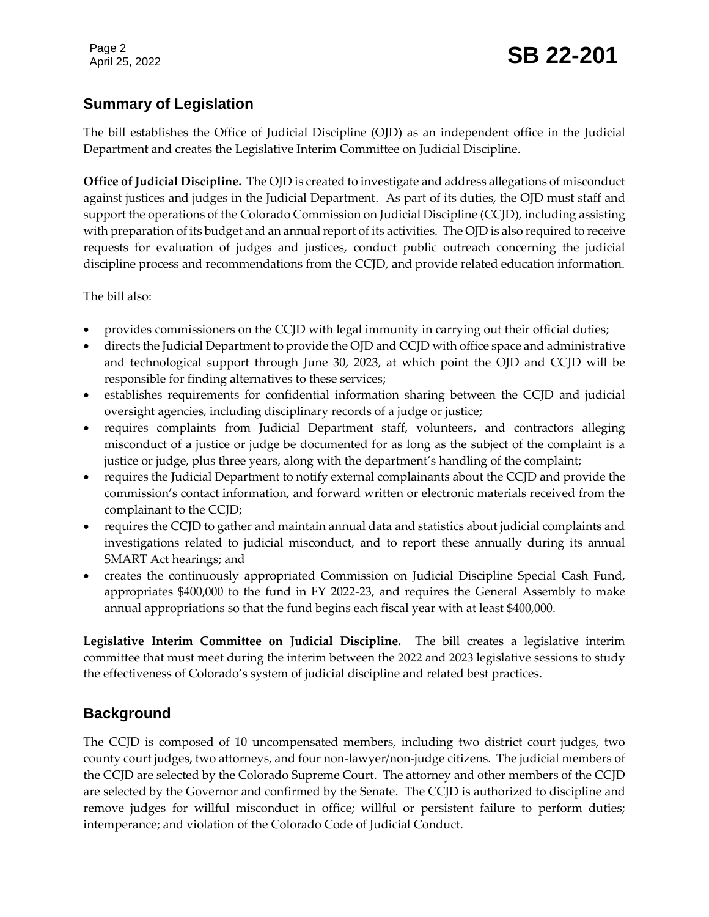# **Summary of Legislation**

The bill establishes the Office of Judicial Discipline (OJD) as an independent office in the Judicial Department and creates the Legislative Interim Committee on Judicial Discipline.

**Office of Judicial Discipline.** The OJD is created to investigate and address allegations of misconduct against justices and judges in the Judicial Department. As part of its duties, the OJD must staff and support the operations of the Colorado Commission on Judicial Discipline (CCJD), including assisting with preparation of its budget and an annual report of its activities. The OJD is also required to receive requests for evaluation of judges and justices, conduct public outreach concerning the judicial discipline process and recommendations from the CCJD, and provide related education information.

The bill also:

- provides commissioners on the CCJD with legal immunity in carrying out their official duties;
- directs the Judicial Department to provide the OJD and CCJD with office space and administrative and technological support through June 30, 2023, at which point the OJD and CCJD will be responsible for finding alternatives to these services;
- establishes requirements for confidential information sharing between the CCJD and judicial oversight agencies, including disciplinary records of a judge or justice;
- requires complaints from Judicial Department staff, volunteers, and contractors alleging misconduct of a justice or judge be documented for as long as the subject of the complaint is a justice or judge, plus three years, along with the department's handling of the complaint;
- requires the Judicial Department to notify external complainants about the CCJD and provide the commission's contact information, and forward written or electronic materials received from the complainant to the CCJD;
- requires the CCJD to gather and maintain annual data and statistics about judicial complaints and investigations related to judicial misconduct, and to report these annually during its annual SMART Act hearings; and
- creates the continuously appropriated Commission on Judicial Discipline Special Cash Fund, appropriates \$400,000 to the fund in FY 2022-23, and requires the General Assembly to make annual appropriations so that the fund begins each fiscal year with at least \$400,000.

**Legislative Interim Committee on Judicial Discipline.** The bill creates a legislative interim committee that must meet during the interim between the 2022 and 2023 legislative sessions to study the effectiveness of Colorado's system of judicial discipline and related best practices.

# **Background**

The CCJD is composed of 10 uncompensated members, including two district court judges, two county court judges, two attorneys, and four non-lawyer/non-judge citizens. The judicial members of the CCJD are selected by the Colorado Supreme Court. The attorney and other members of the CCJD are selected by the Governor and confirmed by the Senate. The CCJD is authorized to discipline and remove judges for willful misconduct in office; willful or persistent failure to perform duties; intemperance; and violation of the Colorado Code of Judicial Conduct.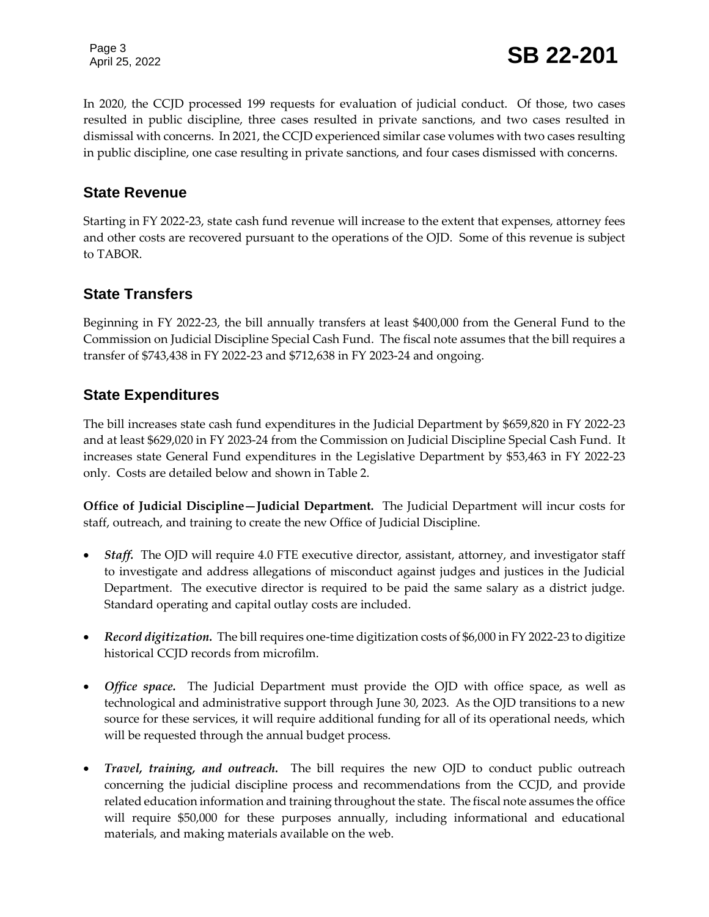Page 3

Page 3<br>April 25, 2022 **SB 22-201** 

In 2020, the CCJD processed 199 requests for evaluation of judicial conduct. Of those, two cases resulted in public discipline, three cases resulted in private sanctions, and two cases resulted in dismissal with concerns. In 2021, the CCJD experienced similar case volumes with two cases resulting in public discipline, one case resulting in private sanctions, and four cases dismissed with concerns.

#### **State Revenue**

Starting in FY 2022-23, state cash fund revenue will increase to the extent that expenses, attorney fees and other costs are recovered pursuant to the operations of the OJD. Some of this revenue is subject to TABOR.

#### **State Transfers**

Beginning in FY 2022-23, the bill annually transfers at least \$400,000 from the General Fund to the Commission on Judicial Discipline Special Cash Fund. The fiscal note assumes that the bill requires a transfer of \$743,438 in FY 2022-23 and \$712,638 in FY 2023-24 and ongoing.

#### **State Expenditures**

The bill increases state cash fund expenditures in the Judicial Department by \$659,820 in FY 2022-23 and at least \$629,020 in FY 2023-24 from the Commission on Judicial Discipline Special Cash Fund. It increases state General Fund expenditures in the Legislative Department by \$53,463 in FY 2022-23 only. Costs are detailed below and shown in Table 2.

**Office of Judicial Discipline—Judicial Department.** The Judicial Department will incur costs for staff, outreach, and training to create the new Office of Judicial Discipline.

- Staff. The OJD will require 4.0 FTE executive director, assistant, attorney, and investigator staff to investigate and address allegations of misconduct against judges and justices in the Judicial Department. The executive director is required to be paid the same salary as a district judge. Standard operating and capital outlay costs are included.
- *Record digitization.*The bill requires one-time digitization costs of \$6,000 in FY 2022-23 to digitize historical CCJD records from microfilm.
- *Office space.*The Judicial Department must provide the OJD with office space, as well as technological and administrative support through June 30, 2023. As the OJD transitions to a new source for these services, it will require additional funding for all of its operational needs, which will be requested through the annual budget process.
- *Travel, training, and outreach.* The bill requires the new OJD to conduct public outreach concerning the judicial discipline process and recommendations from the CCJD, and provide related education information and training throughout the state. The fiscal note assumes the office will require \$50,000 for these purposes annually, including informational and educational materials, and making materials available on the web.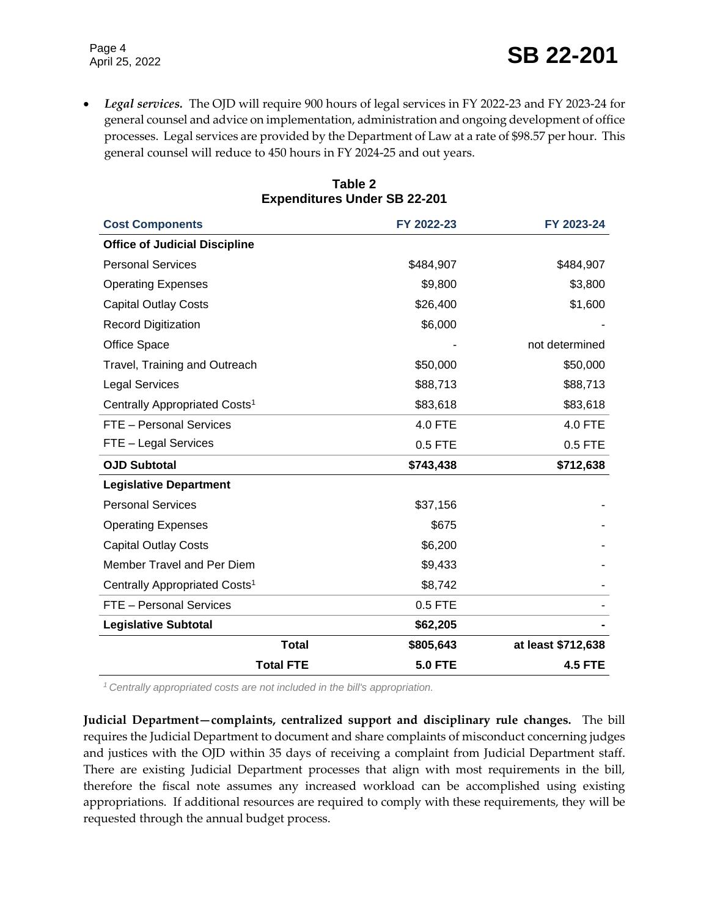*Legal services.* The OJD will require 900 hours of legal services in FY 2022-23 and FY 2023-24 for general counsel and advice on implementation, administration and ongoing development of office processes. Legal services are provided by the Department of Law at a rate of \$98.57 per hour. This general counsel will reduce to 450 hours in FY 2024-25 and out years.

| <b>Cost Components</b>                    | FY 2022-23     | FY 2023-24         |
|-------------------------------------------|----------------|--------------------|
| <b>Office of Judicial Discipline</b>      |                |                    |
| <b>Personal Services</b>                  | \$484,907      | \$484,907          |
| <b>Operating Expenses</b>                 | \$9,800        | \$3,800            |
| <b>Capital Outlay Costs</b>               | \$26,400       | \$1,600            |
| <b>Record Digitization</b>                | \$6,000        |                    |
| Office Space                              |                | not determined     |
| Travel, Training and Outreach             | \$50,000       | \$50,000           |
| <b>Legal Services</b>                     | \$88,713       | \$88,713           |
| Centrally Appropriated Costs <sup>1</sup> | \$83,618       | \$83,618           |
| FTE - Personal Services                   | 4.0 FTE        | 4.0 FTE            |
| FTE - Legal Services                      | 0.5 FTE        | 0.5 FTE            |
| <b>OJD Subtotal</b>                       | \$743,438      | \$712,638          |
| <b>Legislative Department</b>             |                |                    |
| <b>Personal Services</b>                  | \$37,156       |                    |
| <b>Operating Expenses</b>                 | \$675          |                    |
| <b>Capital Outlay Costs</b>               | \$6,200        |                    |
| Member Travel and Per Diem                | \$9,433        |                    |
| Centrally Appropriated Costs <sup>1</sup> | \$8,742        |                    |
| FTE - Personal Services                   | 0.5 FTE        |                    |
| <b>Legislative Subtotal</b>               | \$62,205       |                    |
| <b>Total</b>                              | \$805,643      | at least \$712,638 |
| <b>Total FTE</b>                          | <b>5.0 FTE</b> | <b>4.5 FTE</b>     |

**Table 2 Expenditures Under SB 22-201**

*<sup>1</sup>Centrally appropriated costs are not included in the bill's appropriation.*

**Judicial Department—complaints, centralized support and disciplinary rule changes.** The bill requires the Judicial Department to document and share complaints of misconduct concerning judges and justices with the OJD within 35 days of receiving a complaint from Judicial Department staff. There are existing Judicial Department processes that align with most requirements in the bill, therefore the fiscal note assumes any increased workload can be accomplished using existing appropriations. If additional resources are required to comply with these requirements, they will be requested through the annual budget process.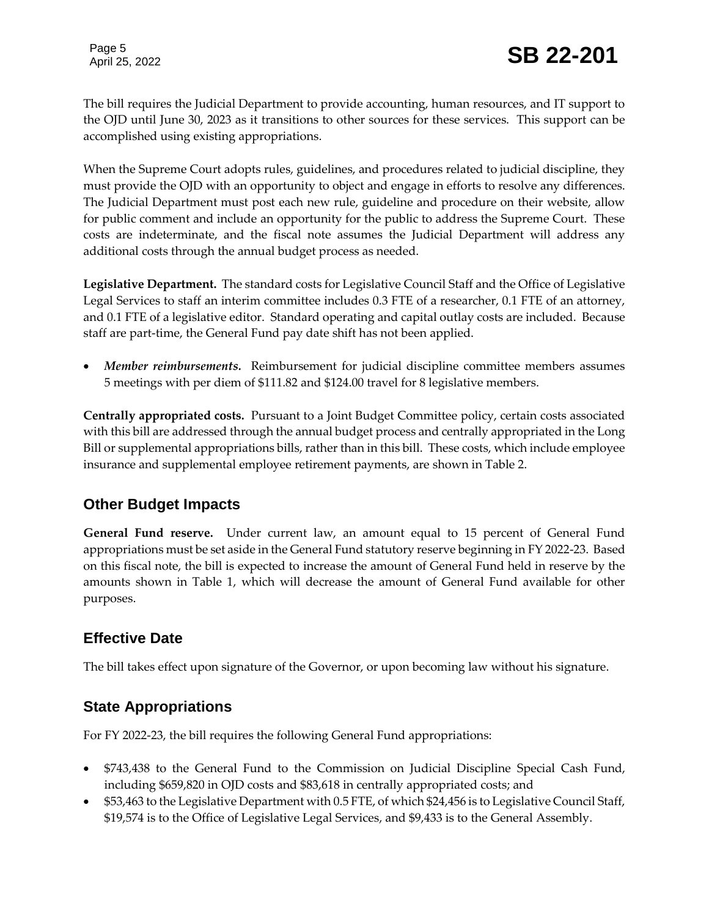The bill requires the Judicial Department to provide accounting, human resources, and IT support to the OJD until June 30, 2023 as it transitions to other sources for these services. This support can be accomplished using existing appropriations.

When the Supreme Court adopts rules, guidelines, and procedures related to judicial discipline, they must provide the OJD with an opportunity to object and engage in efforts to resolve any differences. The Judicial Department must post each new rule, guideline and procedure on their website, allow for public comment and include an opportunity for the public to address the Supreme Court. These costs are indeterminate, and the fiscal note assumes the Judicial Department will address any additional costs through the annual budget process as needed.

**Legislative Department.** The standard costs for Legislative Council Staff and the Office of Legislative Legal Services to staff an interim committee includes 0.3 FTE of a researcher, 0.1 FTE of an attorney, and 0.1 FTE of a legislative editor. Standard operating and capital outlay costs are included. Because staff are part-time, the General Fund pay date shift has not been applied.

 *Member reimbursements.*Reimbursement for judicial discipline committee members assumes 5 meetings with per diem of \$111.82 and \$124.00 travel for 8 legislative members.

**Centrally appropriated costs.** Pursuant to a Joint Budget Committee policy, certain costs associated with this bill are addressed through the annual budget process and centrally appropriated in the Long Bill or supplemental appropriations bills, rather than in this bill. These costs, which include employee insurance and supplemental employee retirement payments, are shown in Table 2.

# **Other Budget Impacts**

**General Fund reserve.** Under current law, an amount equal to 15 percent of General Fund appropriations must be set aside in the General Fund statutory reserve beginning in FY 2022-23. Based on this fiscal note, the bill is expected to increase the amount of General Fund held in reserve by the amounts shown in Table 1, which will decrease the amount of General Fund available for other purposes.

# **Effective Date**

The bill takes effect upon signature of the Governor, or upon becoming law without his signature.

# **State Appropriations**

For FY 2022-23, the bill requires the following General Fund appropriations:

- \$743,438 to the General Fund to the Commission on Judicial Discipline Special Cash Fund, including \$659,820 in OJD costs and \$83,618 in centrally appropriated costs; and
- \$53,463 to the Legislative Department with 0.5 FTE, of which \$24,456 is to Legislative Council Staff, \$19,574 is to the Office of Legislative Legal Services, and \$9,433 is to the General Assembly.